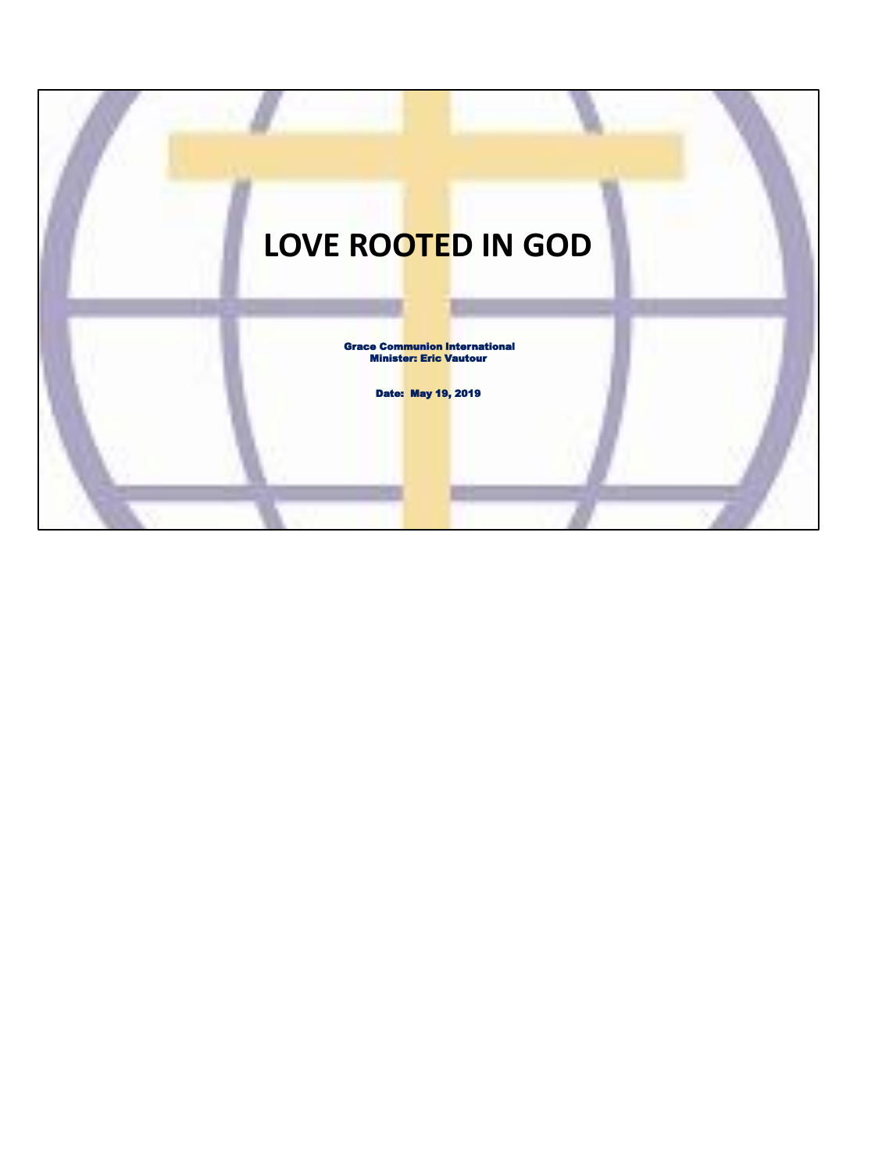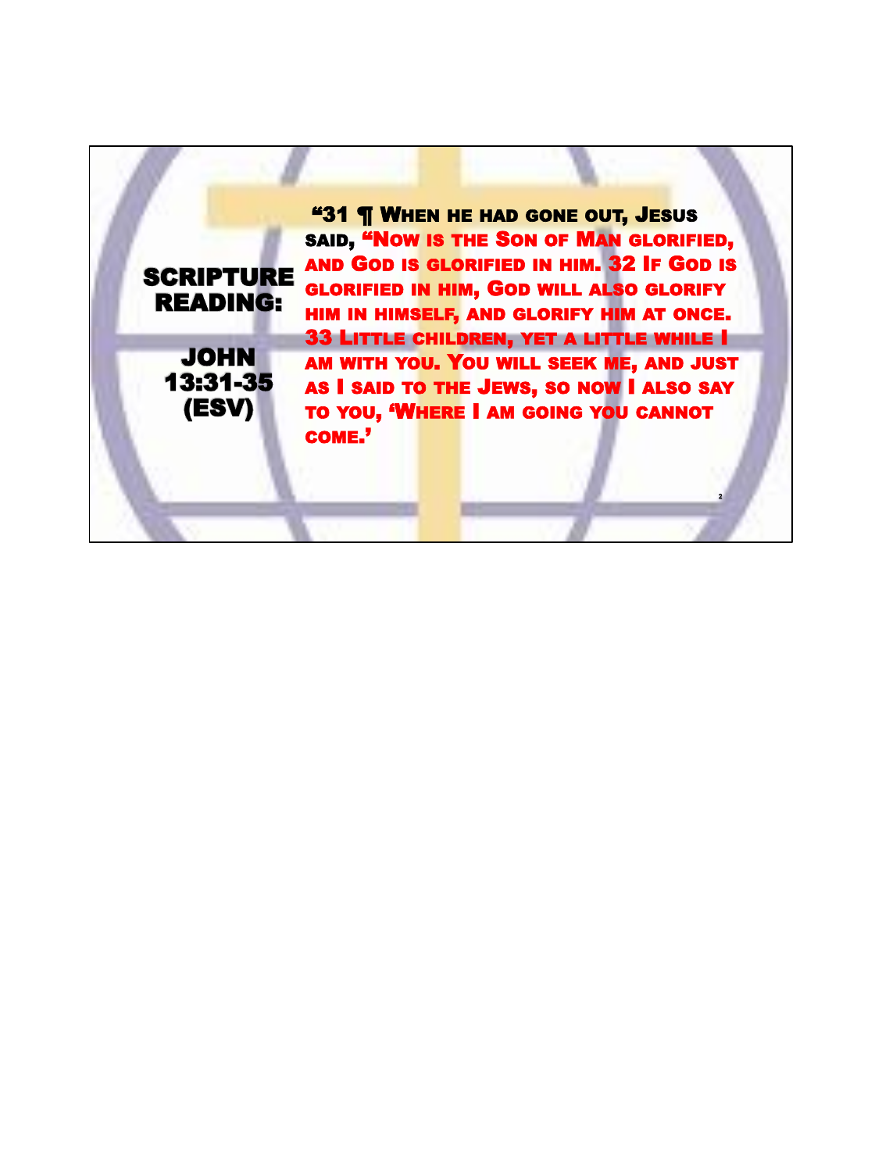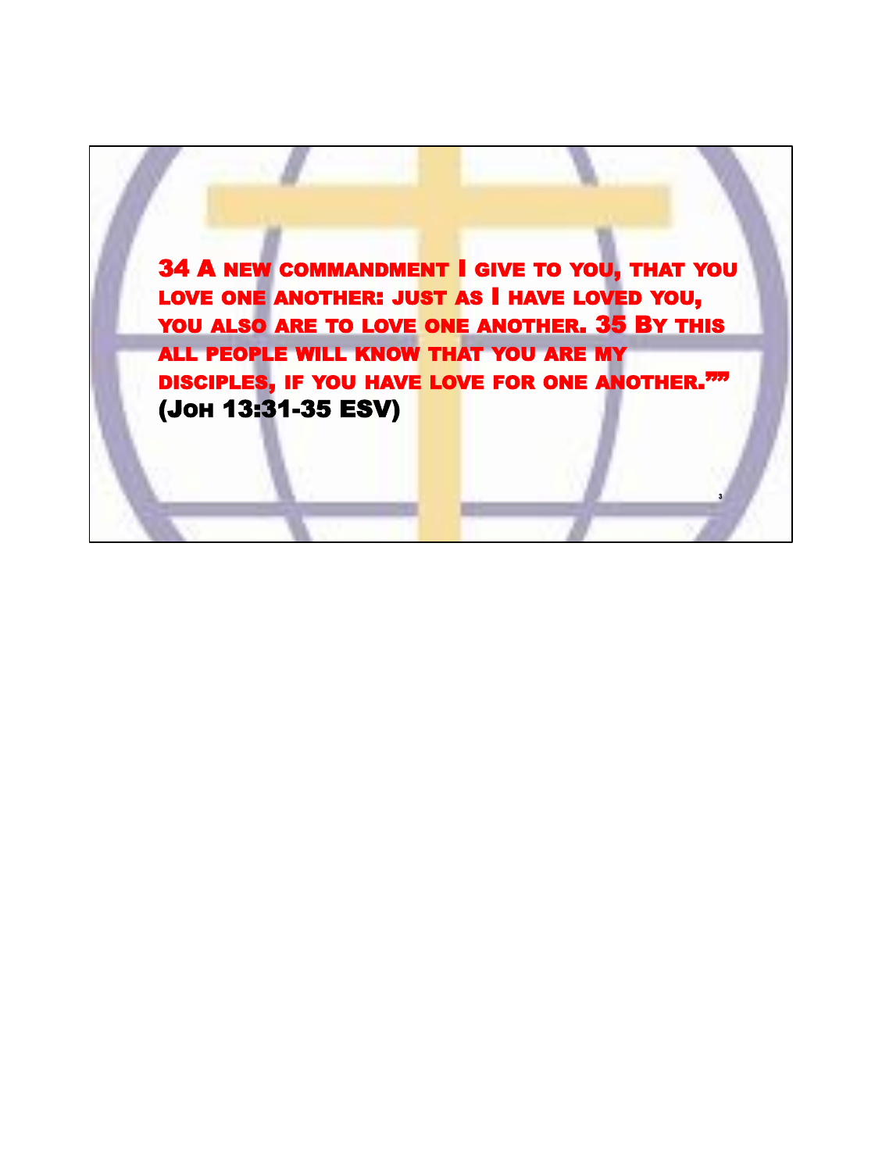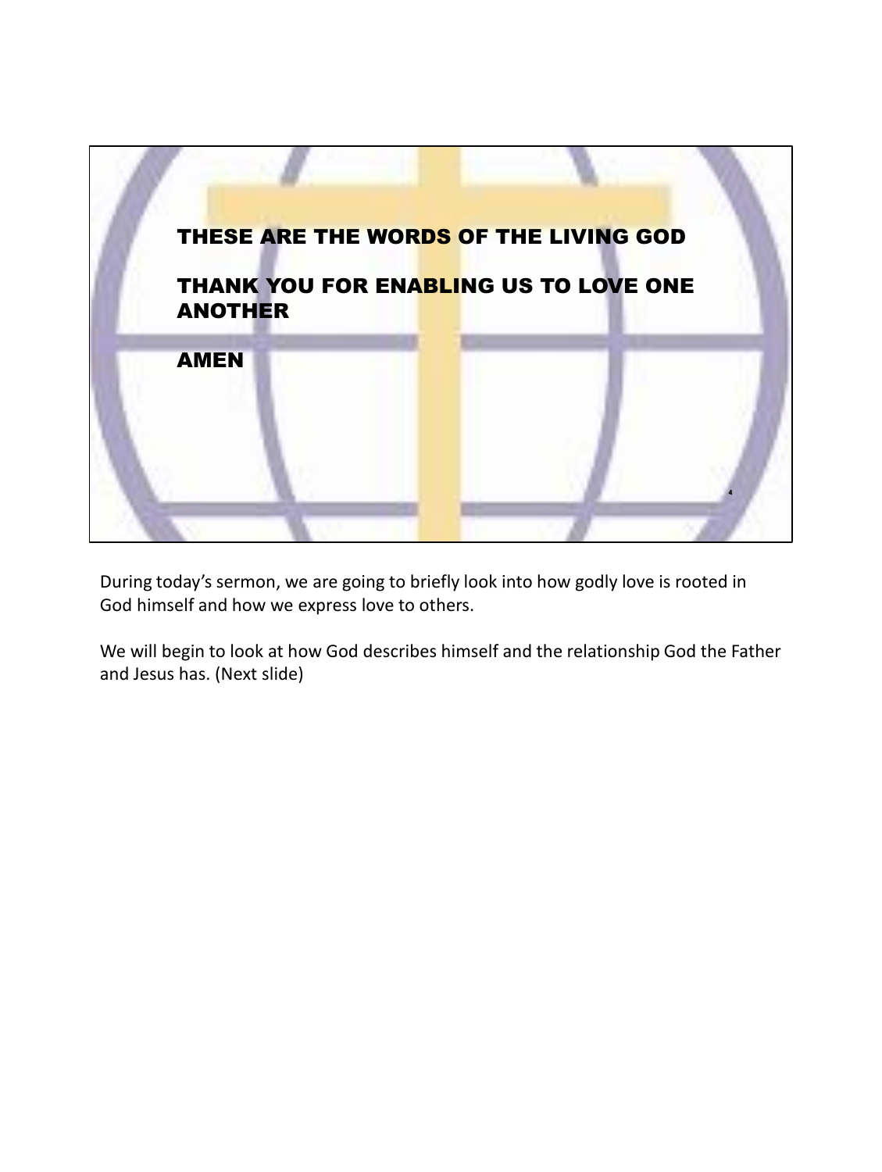

During today's sermon, we are going to briefly look into how godly love is rooted in God himself and how we express love to others.

We will begin to look at how God describes himself and the relationship God the Father and Jesus has. (Next slide)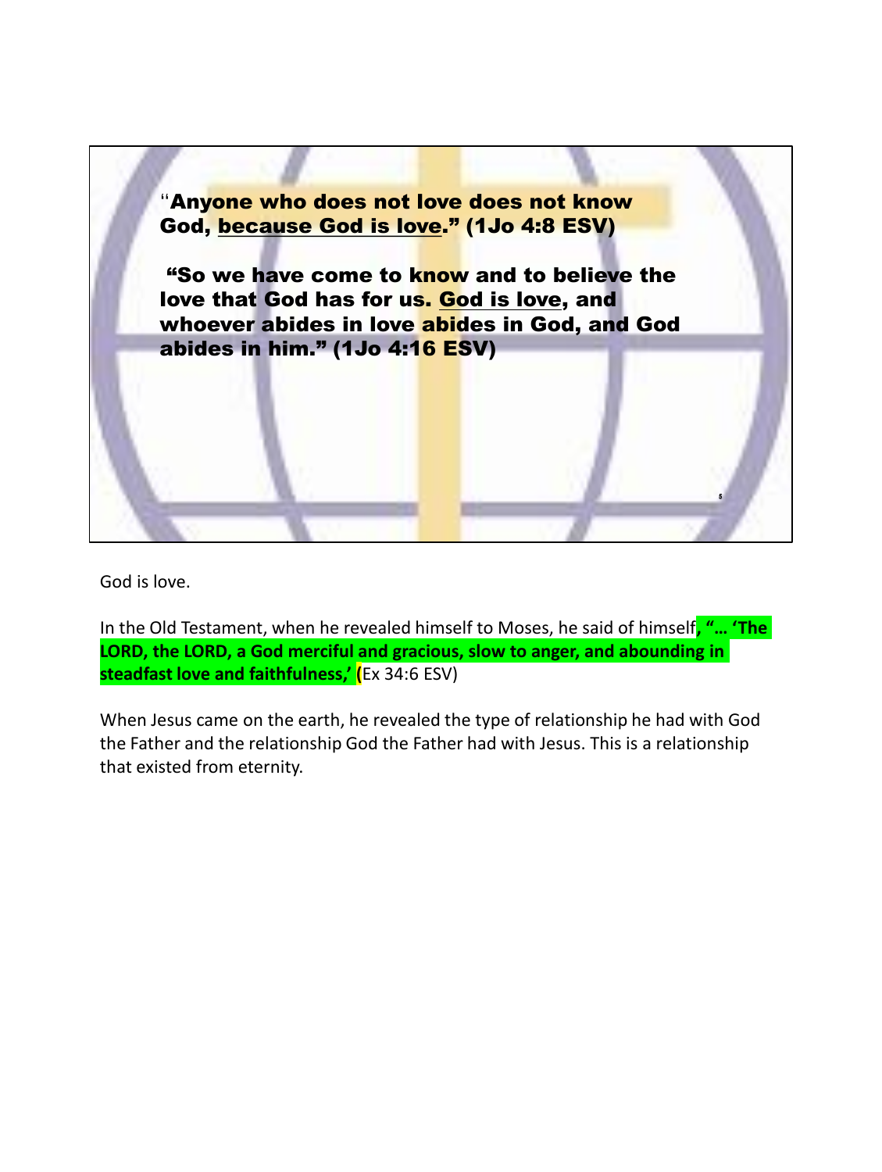

God is love.

In the Old Testament, when he revealed himself to Moses, he said of himself**, "… 'The LORD, the LORD, a God merciful and gracious, slow to anger, and abounding in steadfast love and faithfulness,' (**Ex 34:6 ESV)

When Jesus came on the earth, he revealed the type of relationship he had with God the Father and the relationship God the Father had with Jesus. This is a relationship that existed from eternity.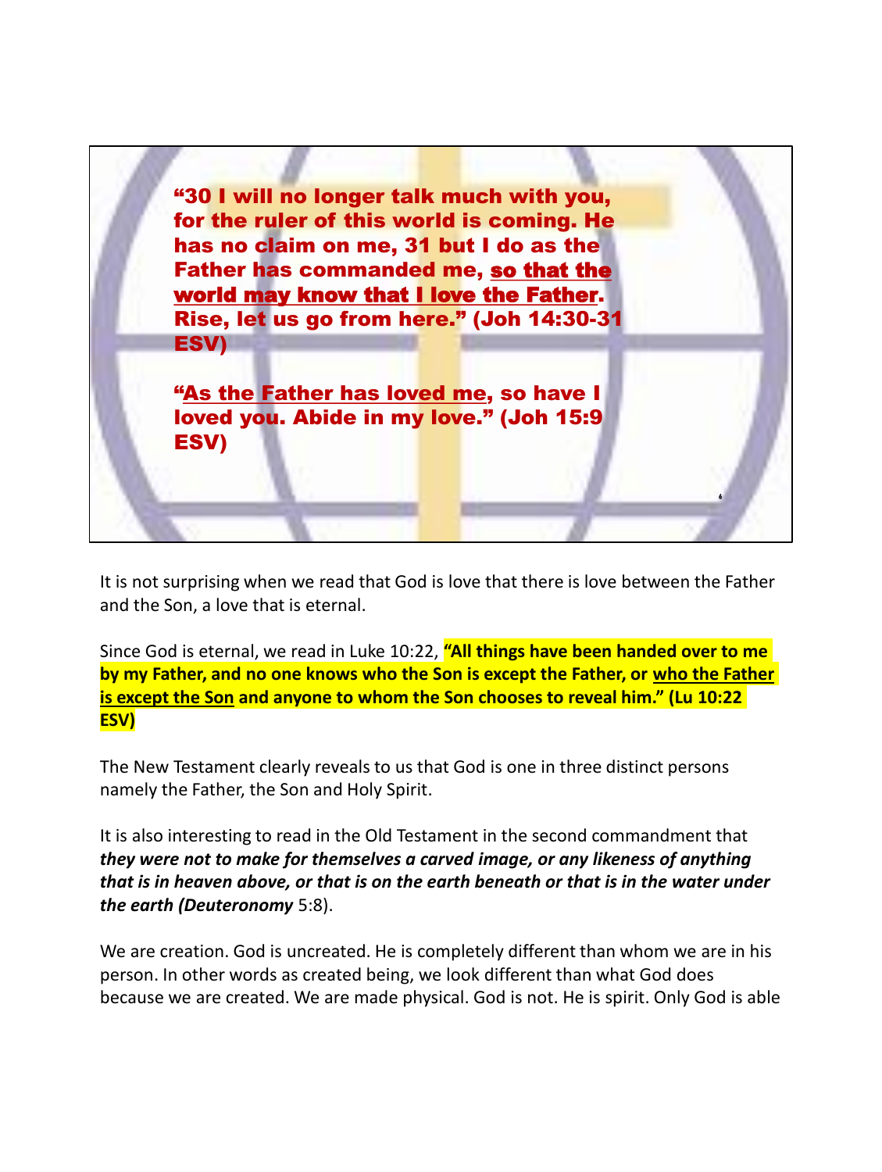

It is not surprising when we read that God is love that there is love between the Father and the Son, a love that is eternal.

Since God is eternal, we read in Luke 10:22, **"All things have been handed over to me by my Father, and no one knows who the Son is except the Father, or who the Father is except the Son and anyone to whom the Son chooses to reveal him." (Lu 10:22 ESV)**

The New Testament clearly reveals to us that God is one in three distinct persons namely the Father, the Son and Holy Spirit.

It is also interesting to read in the Old Testament in the second commandment that *they were not to make for themselves a carved image, or any likeness of anything that is in heaven above, or that is on the earth beneath or that is in the water under the earth (Deuteronomy* 5:8).

We are creation. God is uncreated. He is completely different than whom we are in his person. In other words as created being, we look different than what God does because we are created. We are made physical. God is not. He is spirit. Only God is able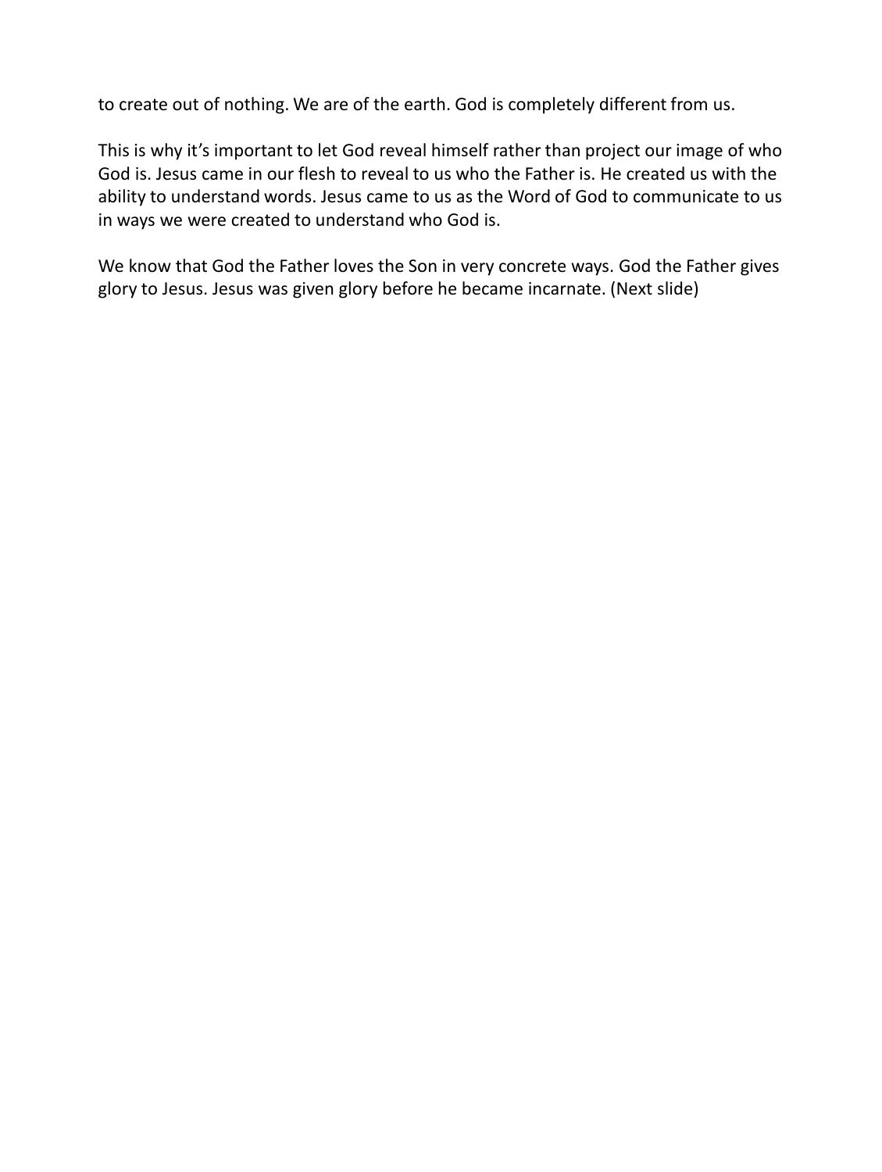to create out of nothing. We are of the earth. God is completely different from us.

This is why it's important to let God reveal himself rather than project our image of who God is. Jesus came in our flesh to reveal to us who the Father is. He created us with the ability to understand words. Jesus came to us as the Word of God to communicate to us in ways we were created to understand who God is.

We know that God the Father loves the Son in very concrete ways. God the Father gives glory to Jesus. Jesus was given glory before he became incarnate. (Next slide)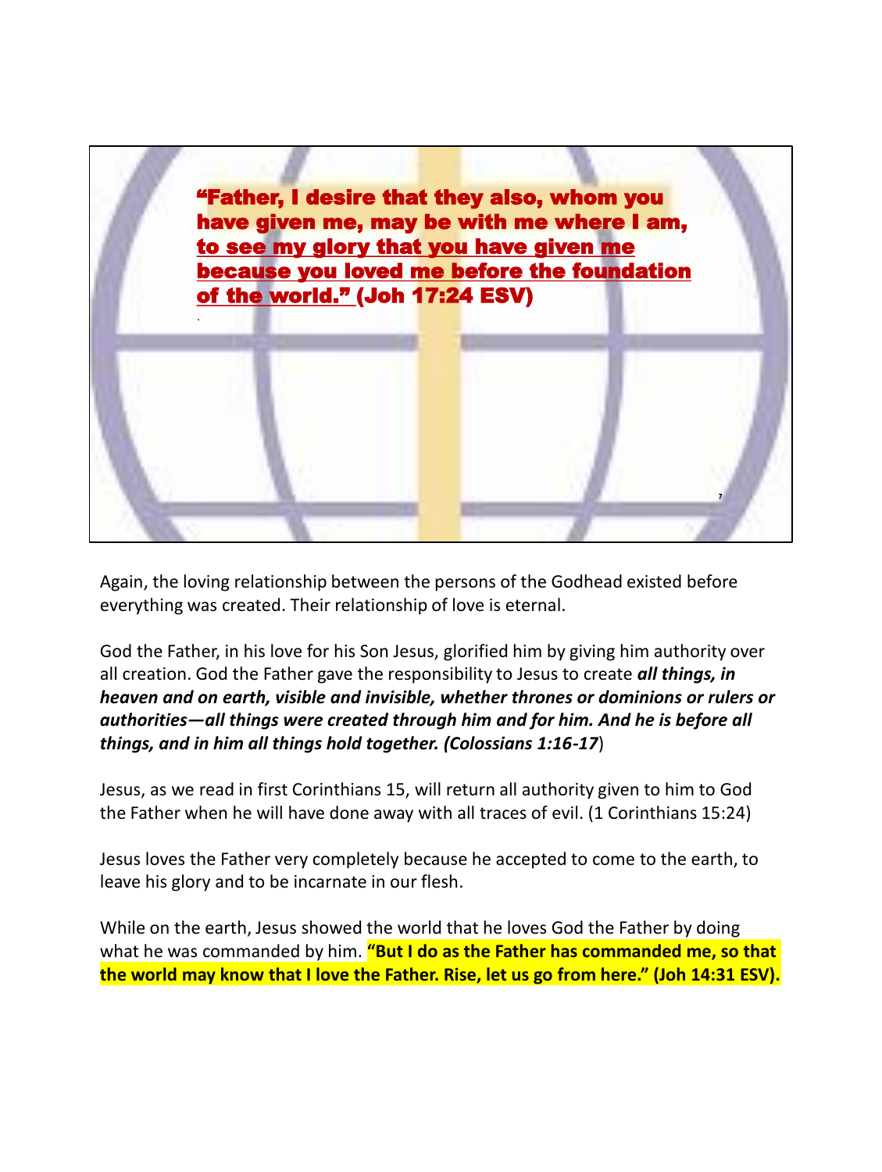

Again, the loving relationship between the persons of the Godhead existed before everything was created. Their relationship of love is eternal.

God the Father, in his love for his Son Jesus, glorified him by giving him authority over all creation. God the Father gave the responsibility to Jesus to create *all things, in heaven and on earth, visible and invisible, whether thrones or dominions or rulers or authorities—all things were created through him and for him. And he is before all things, and in him all things hold together. (Colossians 1:16-17*)

Jesus, as we read in first Corinthians 15, will return all authority given to him to God the Father when he will have done away with all traces of evil. (1 Corinthians 15:24)

Jesus loves the Father very completely because he accepted to come to the earth, to leave his glory and to be incarnate in our flesh.

While on the earth, Jesus showed the world that he loves God the Father by doing what he was commanded by him. **"But I do as the Father has commanded me, so that the world may know that I love the Father. Rise, let us go from here." (Joh 14:31 ESV).**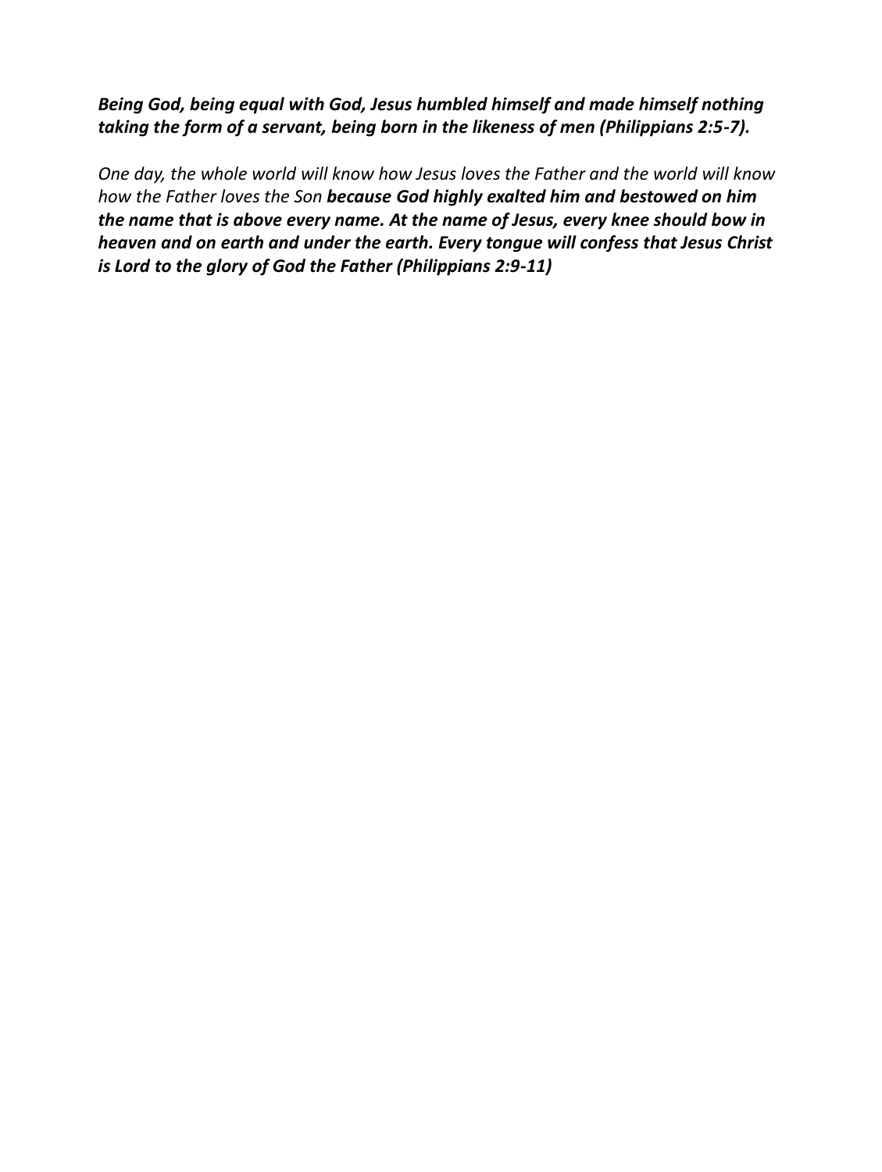*Being God, being equal with God, Jesus humbled himself and made himself nothing taking the form of a servant, being born in the likeness of men (Philippians 2:5-7).*

*One day, the whole world will know how Jesus loves the Father and the world will know how the Father loves the Son because God highly exalted him and bestowed on him the name that is above every name. At the name of Jesus, every knee should bow in heaven and on earth and under the earth. Every tongue will confess that Jesus Christ is Lord to the glory of God the Father (Philippians 2:9-11)*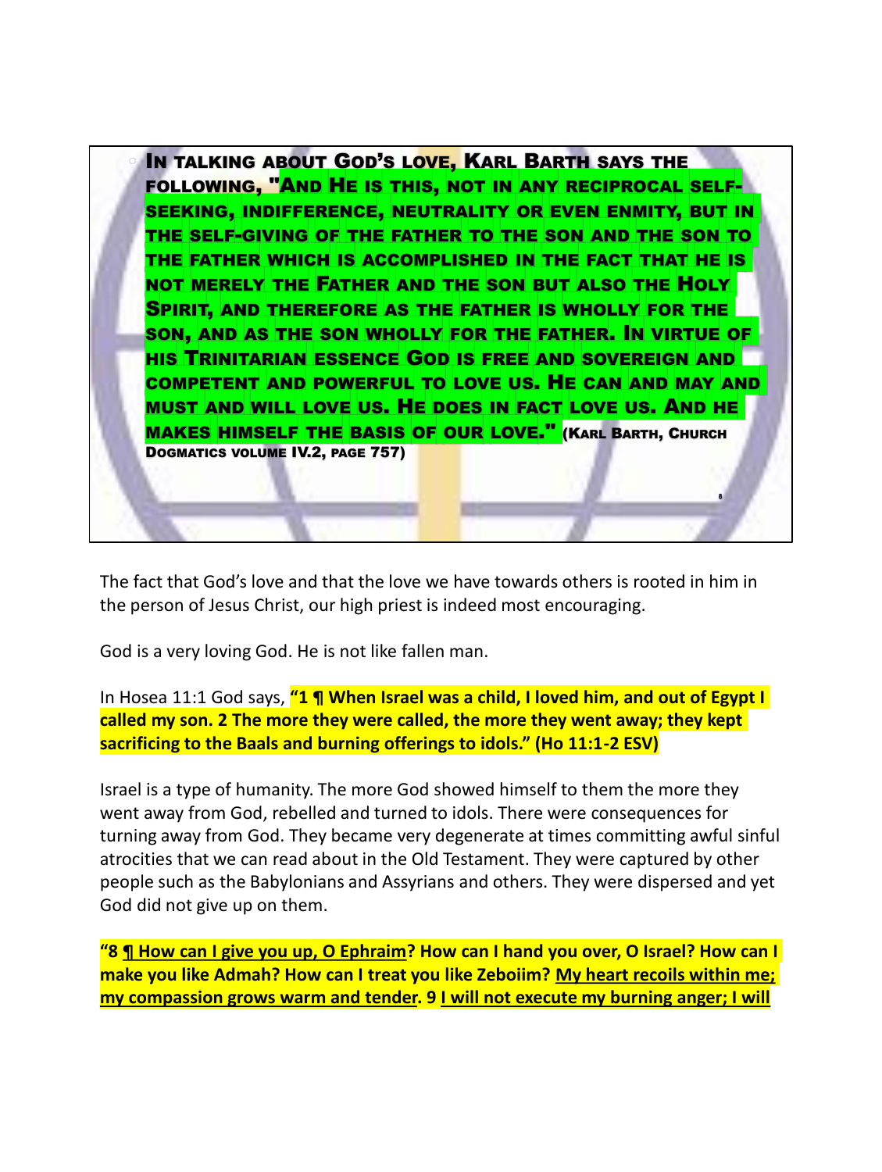

The fact that God's love and that the love we have towards others is rooted in him in the person of Jesus Christ, our high priest is indeed most encouraging.

God is a very loving God. He is not like fallen man.

In Hosea 11:1 God says, **"1 ¶ When Israel was a child, I loved him, and out of Egypt I called my son. 2 The more they were called, the more they went away; they kept sacrificing to the Baals and burning offerings to idols." (Ho 11:1-2 ESV)**

Israel is a type of humanity. The more God showed himself to them the more they went away from God, rebelled and turned to idols. There were consequences for turning away from God. They became very degenerate at times committing awful sinful atrocities that we can read about in the Old Testament. They were captured by other people such as the Babylonians and Assyrians and others. They were dispersed and yet God did not give up on them.

**"8 ¶ How can I give you up, O Ephraim? How can I hand you over, O Israel? How can I make you like Admah? How can I treat you like Zeboiim? My heart recoils within me; my compassion grows warm and tender. 9 I will not execute my burning anger; I will**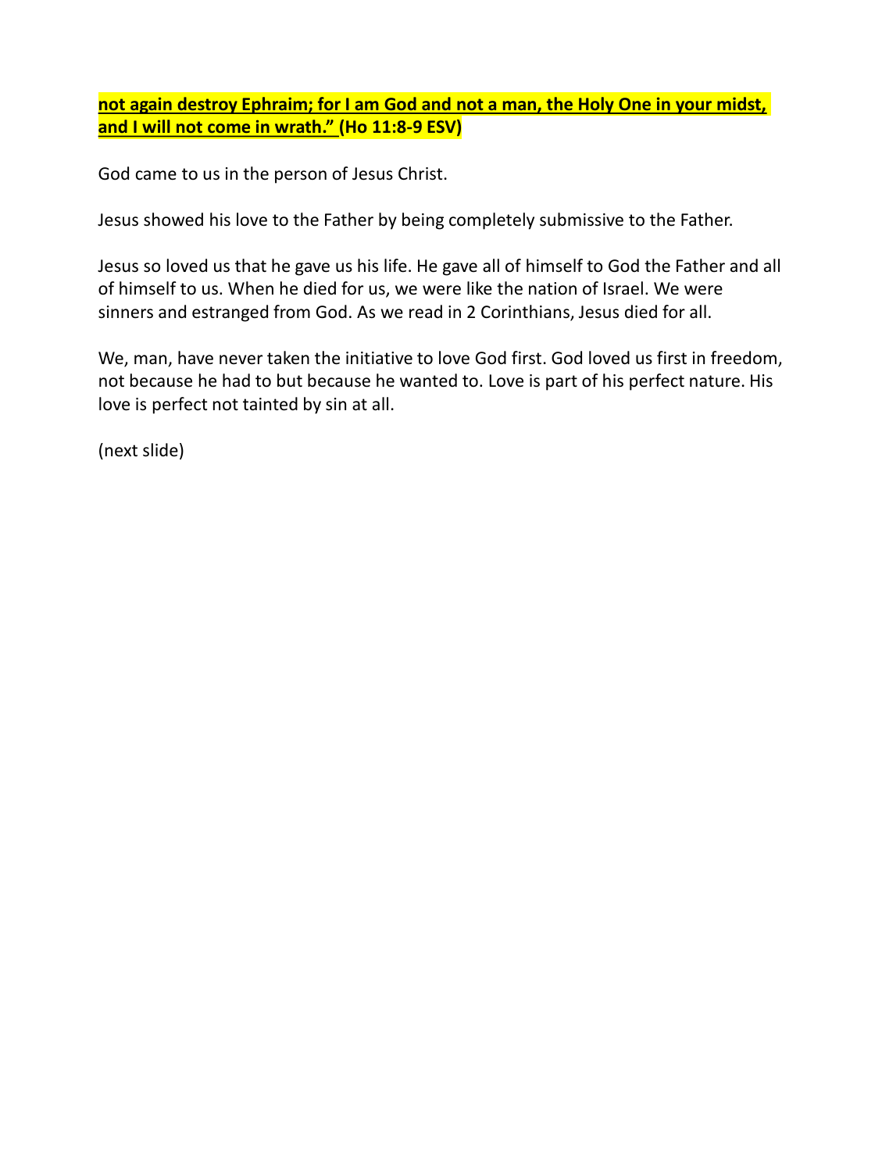**not again destroy Ephraim; for I am God and not a man, the Holy One in your midst, and I will not come in wrath." (Ho 11:8-9 ESV)**

God came to us in the person of Jesus Christ.

Jesus showed his love to the Father by being completely submissive to the Father.

Jesus so loved us that he gave us his life. He gave all of himself to God the Father and all of himself to us. When he died for us, we were like the nation of Israel. We were sinners and estranged from God. As we read in 2 Corinthians, Jesus died for all.

We, man, have never taken the initiative to love God first. God loved us first in freedom, not because he had to but because he wanted to. Love is part of his perfect nature. His love is perfect not tainted by sin at all.

(next slide)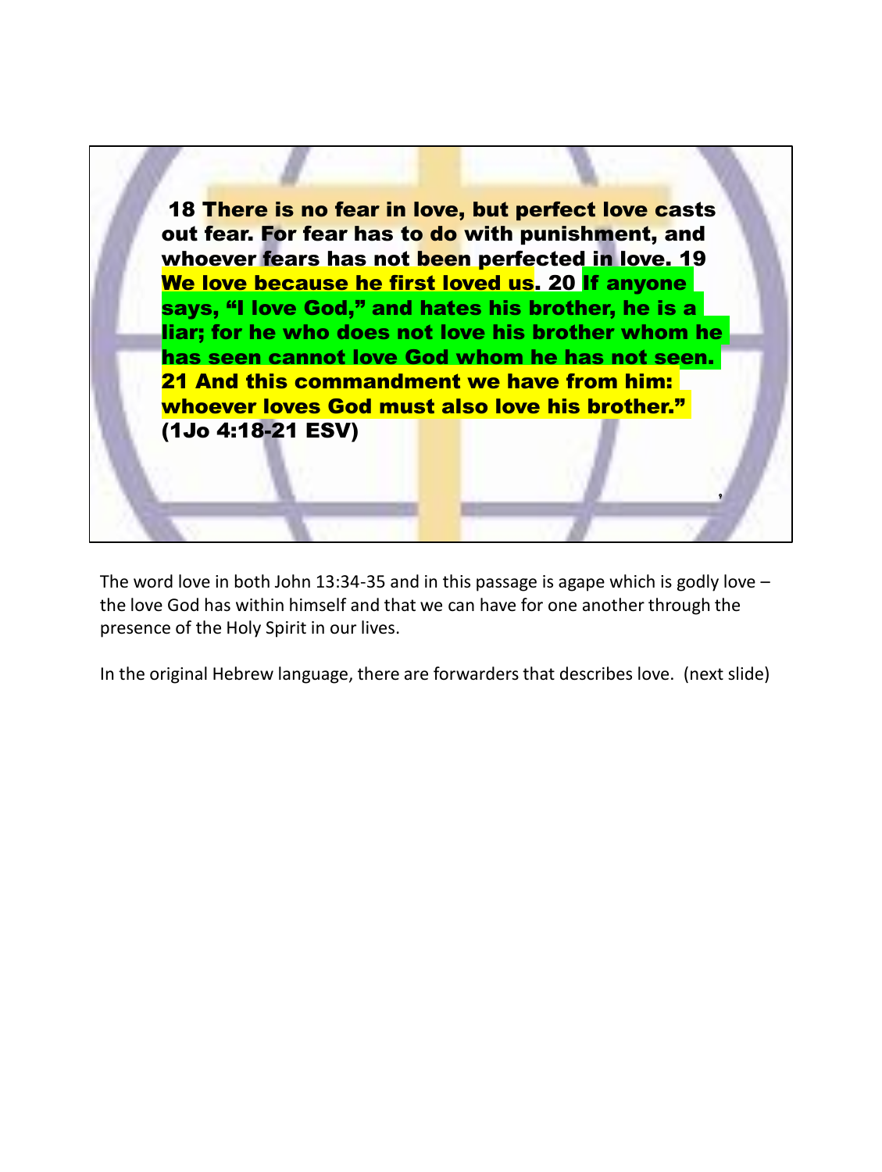

The word love in both John 13:34-35 and in this passage is agape which is godly love  $$ the love God has within himself and that we can have for one another through the presence of the Holy Spirit in our lives.

In the original Hebrew language, there are forwarders that describes love. (next slide)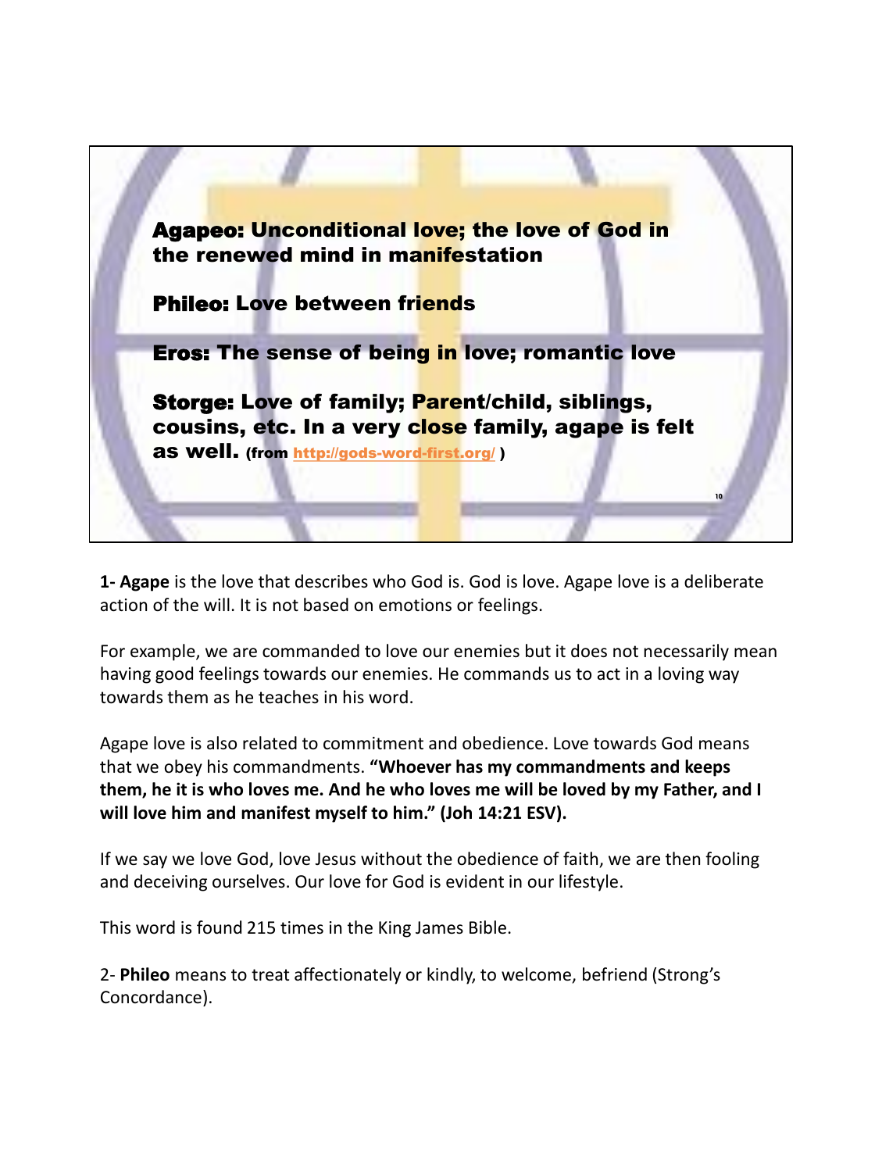

**1- Agape** is the love that describes who God is. God is love. Agape love is a deliberate action of the will. It is not based on emotions or feelings.

For example, we are commanded to love our enemies but it does not necessarily mean having good feelings towards our enemies. He commands us to act in a loving way towards them as he teaches in his word.

Agape love is also related to commitment and obedience. Love towards God means that we obey his commandments. **"Whoever has my commandments and keeps them, he it is who loves me. And he who loves me will be loved by my Father, and I will love him and manifest myself to him." (Joh 14:21 ESV).**

If we say we love God, love Jesus without the obedience of faith, we are then fooling and deceiving ourselves. Our love for God is evident in our lifestyle.

This word is found 215 times in the King James Bible.

2- **Phileo** means to treat affectionately or kindly, to welcome, befriend (Strong's Concordance).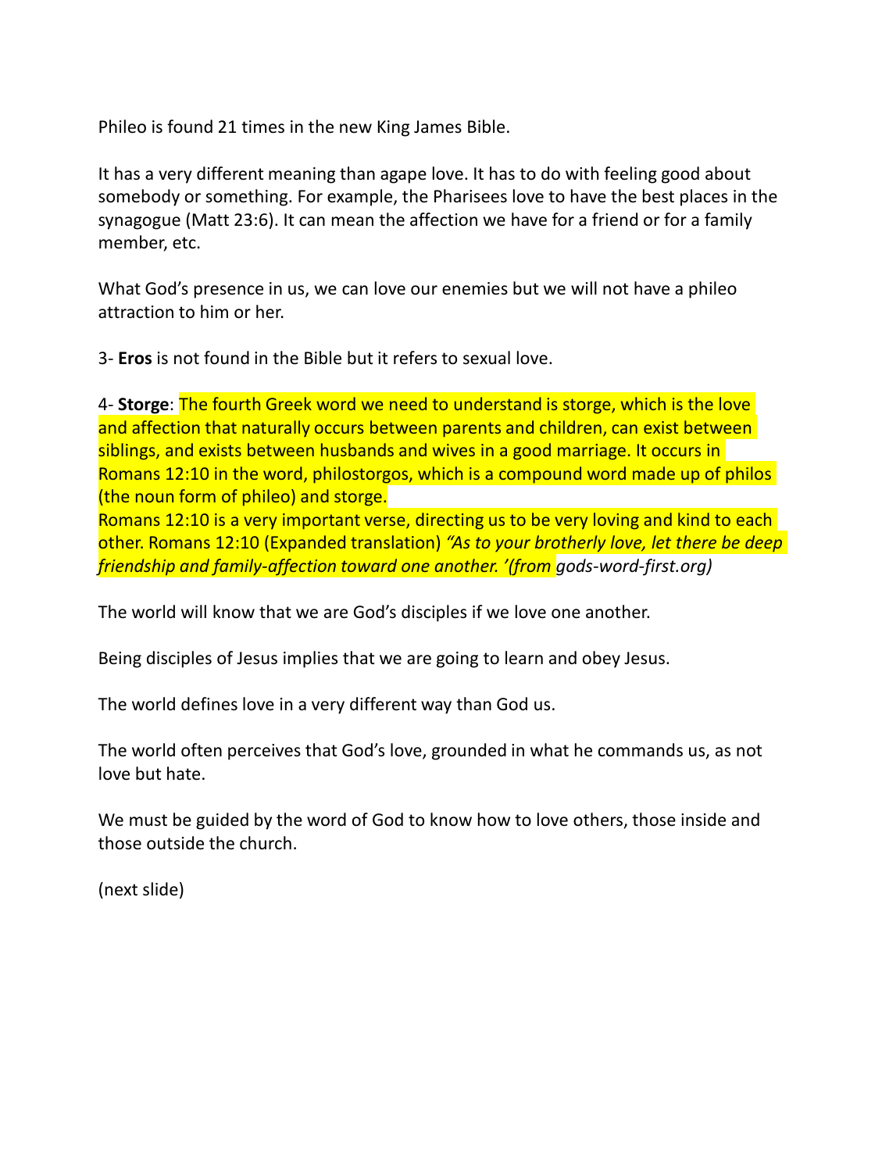Phileo is found 21 times in the new King James Bible.

It has a very different meaning than agape love. It has to do with feeling good about somebody or something. For example, the Pharisees love to have the best places in the synagogue (Matt 23:6). It can mean the affection we have for a friend or for a family member, etc.

What God's presence in us, we can love our enemies but we will not have a phileo attraction to him or her.

3- **Eros** is not found in the Bible but it refers to sexual love.

4- **Storge**: The fourth Greek word we need to understand is storge, which is the love and affection that naturally occurs between parents and children, can exist between siblings, and exists between husbands and wives in a good marriage. It occurs in Romans 12:10 in the word, philostorgos, which is a compound word made up of philos (the noun form of phileo) and storge.

Romans 12:10 is a very important verse, directing us to be very loving and kind to each other. Romans 12:10 (Expanded translation) *"As to your brotherly love, let there be deep friendship and family-affection toward one another. '(from gods-word-first.org)*

The world will know that we are God's disciples if we love one another.

Being disciples of Jesus implies that we are going to learn and obey Jesus.

The world defines love in a very different way than God us.

The world often perceives that God's love, grounded in what he commands us, as not love but hate.

We must be guided by the word of God to know how to love others, those inside and those outside the church.

(next slide)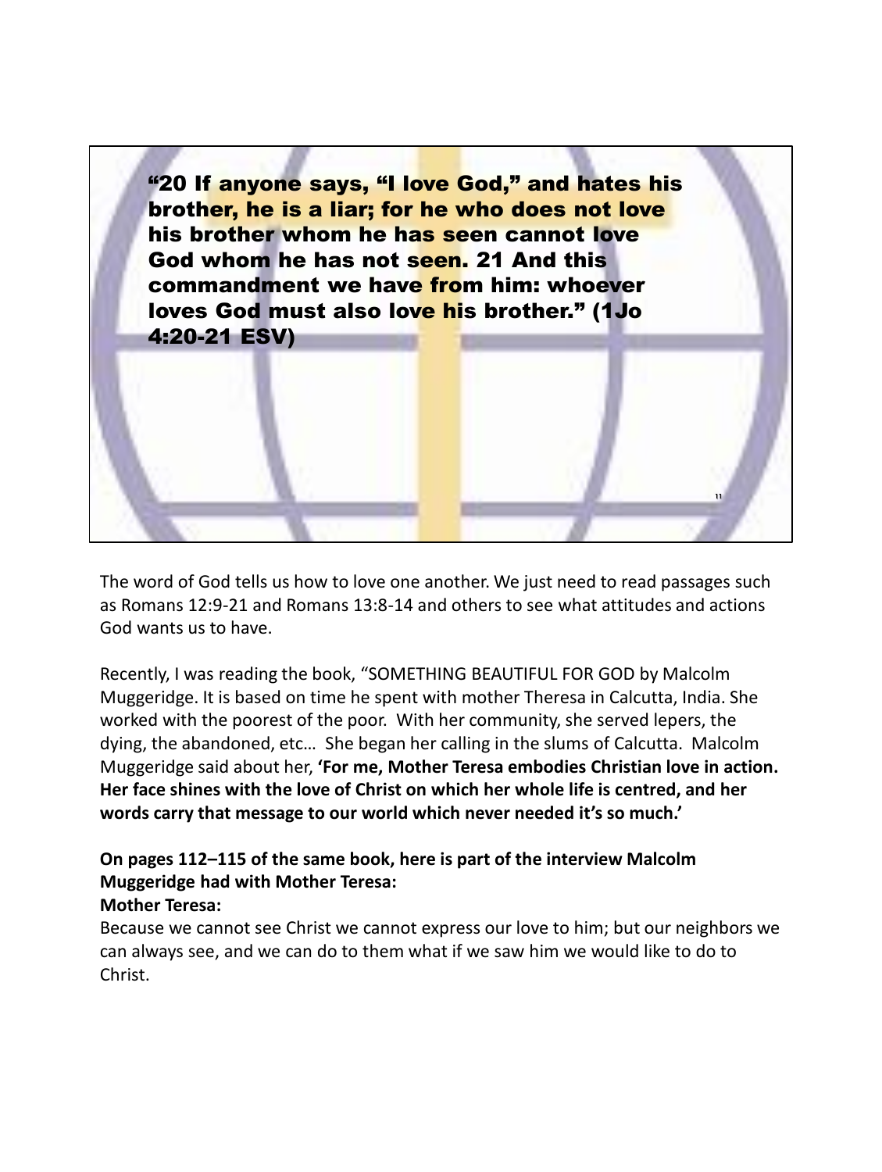"20 If anyone says, "I love God," and hates his brother, he is a liar; for he who does not love his brother whom he has seen cannot love God whom he has not seen. 21 And this commandment we have from him: whoever loves God must also love his brother." (1Jo 4:20-21 ESV)

The word of God tells us how to love one another. We just need to read passages such as Romans 12:9-21 and Romans 13:8-14 and others to see what attitudes and actions God wants us to have.

**11**

Recently, I was reading the book, "SOMETHING BEAUTIFUL FOR GOD by Malcolm Muggeridge. It is based on time he spent with mother Theresa in Calcutta, India. She worked with the poorest of the poor. With her community, she served lepers, the dying, the abandoned, etc… She began her calling in the slums of Calcutta. Malcolm Muggeridge said about her, **'For me, Mother Teresa embodies Christian love in action. Her face shines with the love of Christ on which her whole life is centred, and her words carry that message to our world which never needed it's so much.'**

# **On pages 112–115 of the same book, here is part of the interview Malcolm Muggeridge had with Mother Teresa:**

## **Mother Teresa:**

Because we cannot see Christ we cannot express our love to him; but our neighbors we can always see, and we can do to them what if we saw him we would like to do to Christ.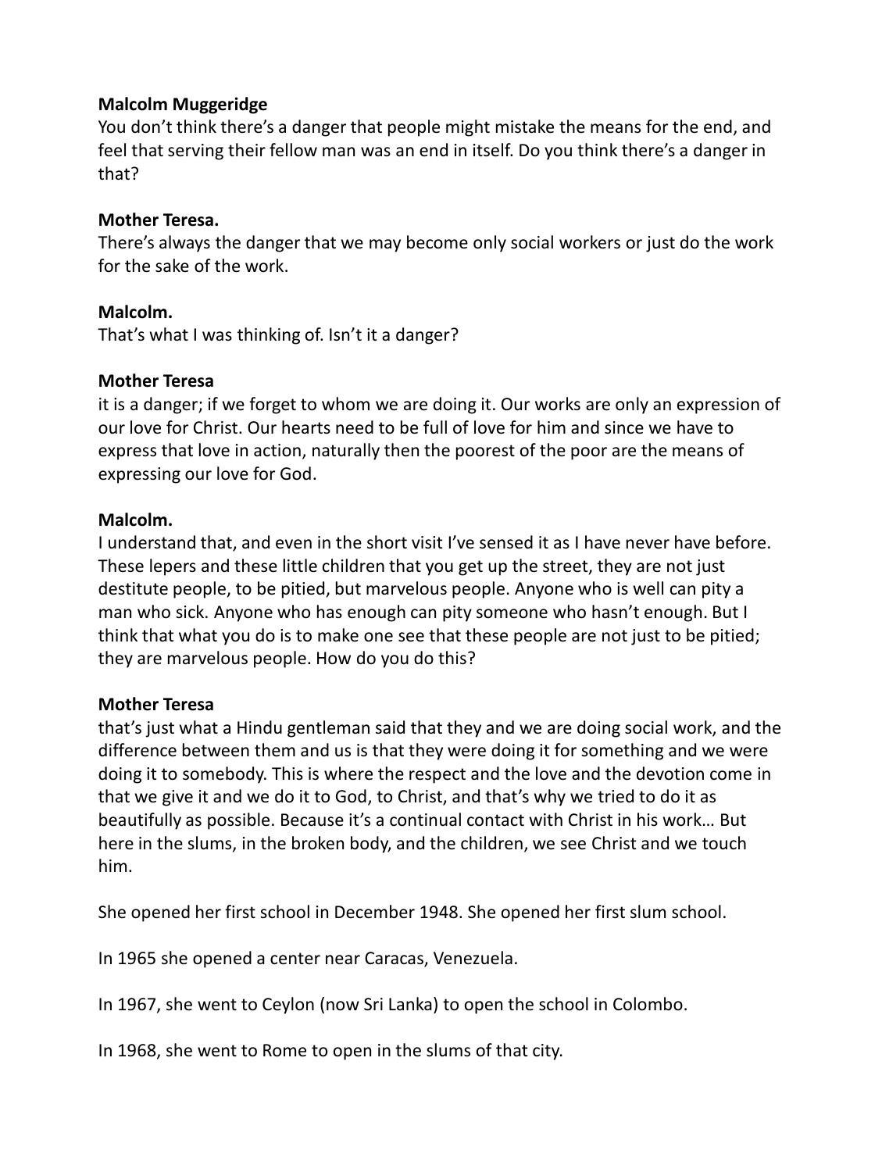## **Malcolm Muggeridge**

You don't think there's a danger that people might mistake the means for the end, and feel that serving their fellow man was an end in itself. Do you think there's a danger in that?

## **Mother Teresa.**

There's always the danger that we may become only social workers or just do the work for the sake of the work.

## **Malcolm.**

That's what I was thinking of. Isn't it a danger?

#### **Mother Teresa**

it is a danger; if we forget to whom we are doing it. Our works are only an expression of our love for Christ. Our hearts need to be full of love for him and since we have to express that love in action, naturally then the poorest of the poor are the means of expressing our love for God.

#### **Malcolm.**

I understand that, and even in the short visit I've sensed it as I have never have before. These lepers and these little children that you get up the street, they are not just destitute people, to be pitied, but marvelous people. Anyone who is well can pity a man who sick. Anyone who has enough can pity someone who hasn't enough. But I think that what you do is to make one see that these people are not just to be pitied; they are marvelous people. How do you do this?

#### **Mother Teresa**

that's just what a Hindu gentleman said that they and we are doing social work, and the difference between them and us is that they were doing it for something and we were doing it to somebody. This is where the respect and the love and the devotion come in that we give it and we do it to God, to Christ, and that's why we tried to do it as beautifully as possible. Because it's a continual contact with Christ in his work… But here in the slums, in the broken body, and the children, we see Christ and we touch him.

She opened her first school in December 1948. She opened her first slum school.

In 1965 she opened a center near Caracas, Venezuela.

In 1967, she went to Ceylon (now Sri Lanka) to open the school in Colombo.

In 1968, she went to Rome to open in the slums of that city.